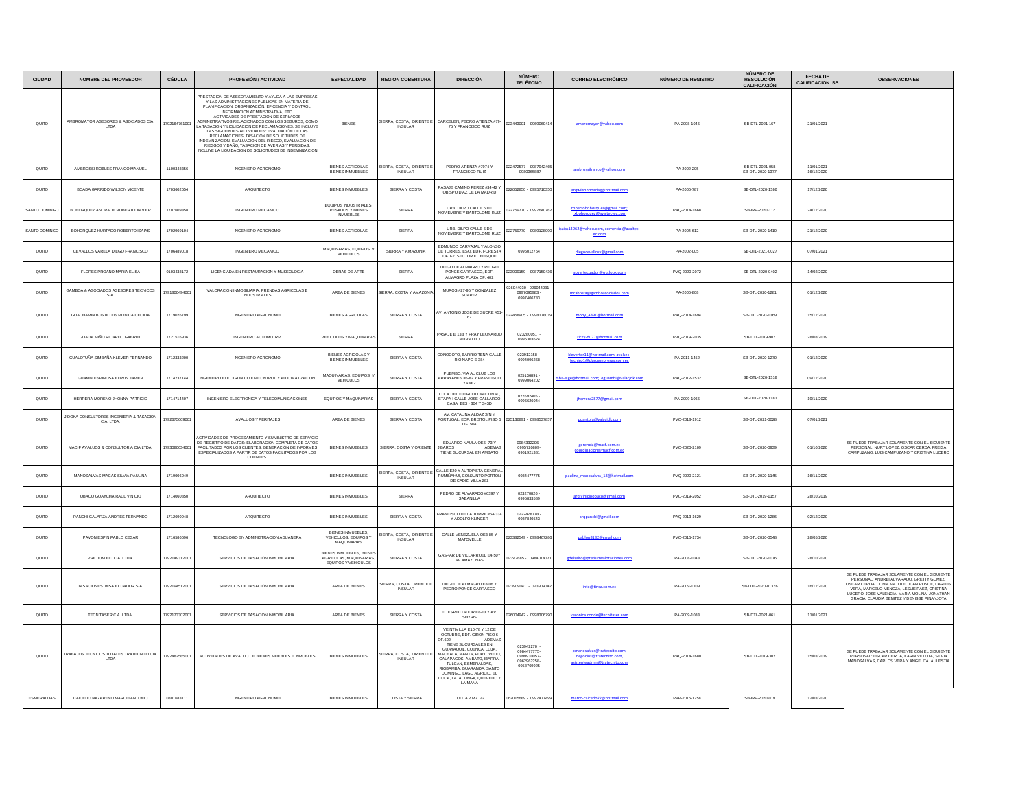| <b>CIUDAD</b> | NOMBRE DEL PROVEEDOR                                    | <b>CÉDULA</b> | <b>PROFESIÓN / ACTIVIDAD</b>                                                                                                                                                                                                                                                                                                                                                                                                                                                                                                                                                                                             | <b>ESPECIALIDAD</b>                                                                                       | <b>REGION COBERTURA</b>                          | <b>DIRECCIÓN</b>                                                                                                                                                                                                                                                                                                        | NÚMERO<br><b>TELÉFONO</b>                                         | <b>CORREO ELECTRÓNICO</b>                                 | <b>NÚMERO DE REGISTRO</b> | NÚMERO DE<br><b>RESOLUCIÓN</b><br><b>CALIFICACIÓN</b> | FECHA DE<br><b>CALIFICACION SB</b> | <b>OBSERVACIONES</b>                                                                                                                                                                                                                                                                         |
|---------------|---------------------------------------------------------|---------------|--------------------------------------------------------------------------------------------------------------------------------------------------------------------------------------------------------------------------------------------------------------------------------------------------------------------------------------------------------------------------------------------------------------------------------------------------------------------------------------------------------------------------------------------------------------------------------------------------------------------------|-----------------------------------------------------------------------------------------------------------|--------------------------------------------------|-------------------------------------------------------------------------------------------------------------------------------------------------------------------------------------------------------------------------------------------------------------------------------------------------------------------------|-------------------------------------------------------------------|-----------------------------------------------------------|---------------------------|-------------------------------------------------------|------------------------------------|----------------------------------------------------------------------------------------------------------------------------------------------------------------------------------------------------------------------------------------------------------------------------------------------|
| QUITO         | AMBROMAYOR ASESORES & ASOCIADOS CIA.<br>LTDA            | 1792164761001 | PRESTACION DE ASESORAMIENTO Y AYUDA A LAS EMPRESAS<br>Y LAS ADMINISTRACIONES PUBLICAS EN MATERIA DE<br>PLANIFICACION, ORGANIZACIÓN, EFICENCIA Y CONTROL,<br>INFORMACION ADMINISTRATIVA, ETC.<br>ACTIVIDADES DE PRESTACION DE SERIVICOS<br>ADMINISTRATIVOS RELACIONADOS CON LOS SEGUROS, COMO<br>LA TASACION Y LIQUIDACION DE RECLAMACIONES, SE INCLUYE<br>LAS SIGUIENTES ACTIVIDADES: EVALUACIÓN DE LAS<br>RECLAMACIONES, TASACIÓN DE SOLICITUDES DE<br>INDEMNIZACIÓN, EVALUACIÓN DEL RIESGO, EVALUACIÓN DE<br>RIESGOS Y DAÑO. TASACIÓN DE AVERIAS Y PERDIDAS.<br>INCLUYE LA LIQUIDACION DE SOLICITUDES DE INDEMNIZACION | <b>BIENES</b>                                                                                             | SIERRA, COSTA, ORIENTE E<br><b>INSULAR</b>       | CARCELEN, PEDRO ATIENZA #79-<br>75 Y FRANCISCO RUIZ                                                                                                                                                                                                                                                                     | 023443001 - 096906041                                             | ambromayor@yahoo.com                                      | PA-2008-1046              | SB-DTL-2021-167                                       | 21/01/2021                         |                                                                                                                                                                                                                                                                                              |
| QUITO         | AMBROSSI ROBLES FRANCO MANUEL                           | 1100348356    | <b>INGENIERO AGRONOMO</b>                                                                                                                                                                                                                                                                                                                                                                                                                                                                                                                                                                                                | <b>BIENES AGRÍCOLAS</b><br>BIENES INMUEBLES                                                               | <b>IERRA, COSTA, ORIENTE E</b><br><b>INSULAR</b> | PEDRO ATIENZA #7974 Y<br>FRANCISCO RUIZ                                                                                                                                                                                                                                                                                 | 22472577 - 0987942465<br>$-0980365887$                            | ambrossifranco@yahoo.com                                  | PA-2002-205               | SB-DTL-2021-058<br>SB-DTL-2020-1377                   | 11/01/2021<br>16/12/2020           |                                                                                                                                                                                                                                                                                              |
| QUITO         | BOADA GARRIDO WILSON VICENTE                            | 1703602654    | ARQUITECTO                                                                                                                                                                                                                                                                                                                                                                                                                                                                                                                                                                                                               | <b>BIENES INMUEBLES</b>                                                                                   | SIERRA Y COSTA                                   | ASAJE CAMINO PEREZ #34-42<br>OBISPO DIAZ DE LA MADRID                                                                                                                                                                                                                                                                   | 2052850 - 099571035                                               | arqwilsonboadag@hotmail.com                               | PA-2006-787               | SB-DTL-2020-1386                                      | 17/12/2020                         |                                                                                                                                                                                                                                                                                              |
| ANTO DOMING   | BOHORQUEZ ANDRADE ROBERTO XAVIER                        | 1707609358    | INGENIERO MECANICO                                                                                                                                                                                                                                                                                                                                                                                                                                                                                                                                                                                                       | EQUIPOS INDUSTRIALES<br>PESADOS Y BIENES<br>INMUEBLES                                                     | SIERRA                                           | URB. DILPO CALLE 6 DE<br>NOVIEMBRE Y BARTOLOME RUIZ                                                                                                                                                                                                                                                                     | 2759770 - 099764076                                               | robertobohorquez@gmail.com;<br>rxbohorquez@avaltec-ec.com | PAQ-2014-1668             | SB-IRP-2020-112                                       | 24/12/2020                         |                                                                                                                                                                                                                                                                                              |
| SANTO DOMINGO | BOHORQUEZ HURTADO ROBERTO ISAIAS                        | 1702969104    | INGENIERO AGRONOMO                                                                                                                                                                                                                                                                                                                                                                                                                                                                                                                                                                                                       | <b>BIENES AGRICOLAS</b>                                                                                   | SIERRA                                           | URB. DILPO CALLE 6 DE<br>NOVIEMBRE Y BARTOLOME RUIZ                                                                                                                                                                                                                                                                     | 2759770 - 098912809                                               | saias13062@yahoo.com, comercial@avaltec<br>ec.com         | PA-2004-612               | SB-DTL-2020-1410                                      | 21/12/2020                         |                                                                                                                                                                                                                                                                                              |
| QUITO         | CEVALLOS VARELA DIEGO FRANCISCO                         | 1706489018    | INGENIERO MECANICO                                                                                                                                                                                                                                                                                                                                                                                                                                                                                                                                                                                                       | MAQUINARIAS, EQUIPOS<br>VEHICULOS                                                                         | SIERRA Y AMAZONIA                                | EDMUNDO CARVAJAL Y ALONSO<br>DE TORRES, ESQ. EDF. FORESTA<br>OF, F2 SECTOR EL BOSQUE                                                                                                                                                                                                                                    | 0996012764                                                        | diegocevallosv@gmail.com                                  | PA-2002-005               | SB-DTL-2021-0027                                      | 07/01/2021                         |                                                                                                                                                                                                                                                                                              |
| QUITO         | FLORES PROAÑO MARIA ELISA                               | 0103438172    | LICENCIADA EN RESTAURACION Y MUSEOLOGIA                                                                                                                                                                                                                                                                                                                                                                                                                                                                                                                                                                                  | OBRAS DE ARTE                                                                                             | SIERRA                                           | DIEGO DE ALMAGRO Y PEDRO<br>PONCE CARRASCO, EDF.<br>ALMAGRO PLAZA OF, 402                                                                                                                                                                                                                                               | 23909159 - 098715043                                              | sovartecuador@outlook.com                                 | PVQ-2020-2072             | SB-DTL-2020-0402                                      | 14/02/2020                         |                                                                                                                                                                                                                                                                                              |
| QUITO         | GAMBOA & ASOCIADOS ASESORES TECNICOS<br>S.A.            | 179180049400  | VALORACION INMOBILIARIA, PRENDAS AGRICOLAS E<br>INDUSTRIALES                                                                                                                                                                                                                                                                                                                                                                                                                                                                                                                                                             | AREA DE BIENES                                                                                            | <b>IERRA, COSTA Y AMAZONI</b>                    | MUROS #27-95 Y GONZALEZ<br>SUAREZ                                                                                                                                                                                                                                                                                       | 044030 - 026044031<br>0997095983                                  | mcabrera@gamboasociados.com                               | PA-2006-808               | SB-DTL-2020-1281                                      | 01/12/2020                         |                                                                                                                                                                                                                                                                                              |
| QUITO         | GUACHAMIN BUSTILLOS MONICA CECILIA                      | 1719026799    | INGENIERO AGRONOMO                                                                                                                                                                                                                                                                                                                                                                                                                                                                                                                                                                                                       | <b>BIENES AGRICOLAS</b>                                                                                   | SIERRA Y COSTA                                   | AV. ANTONIO JOSE DE SUCRE #51-                                                                                                                                                                                                                                                                                          | 022458905 - 0998178019                                            | mony 4891@hotmail.com                                     | PAQ-2014-1694             | SB-DTL-2020-1369                                      | 15/12/2020                         |                                                                                                                                                                                                                                                                                              |
| QUITO         | <b>GUAITA MIÑO RICARDO GABRIEL</b>                      | 1721516936    | <b>INGENIERO AUTOMOTRIZ</b>                                                                                                                                                                                                                                                                                                                                                                                                                                                                                                                                                                                              | EHICULOS Y MAQUINARIA                                                                                     | SIERRA                                           | PASAJE E 13B Y FRAY LEONARDO<br>MURIALDO                                                                                                                                                                                                                                                                                | 023280051<br>0995303624                                           | ricky-du77@hotmail.com                                    | PVQ-2019-2035             | SB-DTL-2019-907                                       | 28/08/2019                         |                                                                                                                                                                                                                                                                                              |
| QUITO         | GUALOTUÑA SIMBAÑA KLEVER FERNANDO                       | 1712333200    | INGENIERO AGRONOMO                                                                                                                                                                                                                                                                                                                                                                                                                                                                                                                                                                                                       | <b>BIENES AGRICOLAS Y</b><br><b>BIENES INMUEBLES</b>                                                      | SIERRA Y COSTA                                   | CONOCOTO, BARRIO TENA CALLE<br>RIO NAPO E 384                                                                                                                                                                                                                                                                           | 023912158<br>0994096268                                           | er11@hotmail.com avalsed<br>tecnico1@claroempresas.com.ec | PA-2011-1452              | SB-DTL-2020-1270                                      | 01/12/2020                         |                                                                                                                                                                                                                                                                                              |
| QUITO         | GUAMBI ESPINOSA EDWIN JAVIER                            | 1714237144    | INGENIERO ELECTRONICO EN CONTROL Y AUTOMATIZACION                                                                                                                                                                                                                                                                                                                                                                                                                                                                                                                                                                        | MAQUINARIAS, EQUIPOS<br>VEHICULOS                                                                         | SIERRA Y COSTA                                   | PUEMBO, VIA AL CLUB LOS<br>ARRAYANES #6-82 Y FRANCISCO<br>YANEZ                                                                                                                                                                                                                                                         | 025136891<br>0999064202                                           | a-ejge@hotmail.com; eguambi@valacjdk.co                   | PAQ-2012-1532             | SB-DTL-2020-1318                                      | 09/12/2020                         |                                                                                                                                                                                                                                                                                              |
| QUITO         | HERRERA MORENO JHONNY PATRICIO                          | 1714714407    | INGENIERO ELECTRONICA Y TELECOMUNICACIONES                                                                                                                                                                                                                                                                                                                                                                                                                                                                                                                                                                               | EQUIPOS Y MAQUINARIAS                                                                                     | SIERRA Y COSTA                                   | CDLA DEL EJERCITO NACIONAL<br>ETAPA I CALLE JOSE GALLARDO<br>CASA BE3 - 304 Y S43D                                                                                                                                                                                                                                      | 022692405<br>0996626044                                           | iherrera2877@gmail.com                                    | PA-2009-1066              | SB-DTL-2020-1181                                      | 19/11/2020                         |                                                                                                                                                                                                                                                                                              |
| QUITO         | JIDOKA CONSULTORES INGENIERIA & TASACION<br>CIA. LTDA.  | 1792675669001 | AVALUOS Y PERITAJES                                                                                                                                                                                                                                                                                                                                                                                                                                                                                                                                                                                                      | AREA DE BIENES                                                                                            | SIERRA Y COSTA                                   | AV. CATALINA ALDAZ S/N Y<br>PORTUGAL, EDF. BRISTOL PISO 5<br>OF. 504                                                                                                                                                                                                                                                    | 025136891 - 099853785                                             | pantoja@valacjdk.com                                      | PVQ-2018-1912             | SB-DTL-2021-0028                                      | 07/01/2021                         |                                                                                                                                                                                                                                                                                              |
| QUITO         | MAC-F AVALUOS & CONSULTORIA CIA.LTDA.                   | 1793080634001 | <b>ACTIVIDADES DE PROCESAMIENTO Y SUMINISTRO DE SERVICI</b><br>DE REGISTRO DE DATOS: ELABORACIÓN COMPLETA DE DATOS<br>FACILITADOS POR LOS CLIENTES. GENERACIÓN DE INFORMES<br>ESPECIALIZADOS A PARTIR DE DATOS FACILITADOS POR LOS<br>CLIENTES.                                                                                                                                                                                                                                                                                                                                                                          | <b>BIENES INMUEBLES</b>                                                                                   | SIERRA, COSTA Y ORIENTE                          | EDUARDO NAULA OE6 -73 Y<br><b>BAROS</b><br><b>ADEMAS</b><br>TIENE SUCURSAL EN AMBATO                                                                                                                                                                                                                                    | 0984332208<br>0995720809<br>0961921381                            | zerencia@macf.com.ec<br>coordinacion@macf.com.ed          | PVQ-2020-2109             | SB-DTL-2020-0939                                      | 01/10/2020                         | SE PUEDE TRABAJAR SOLAMENTE CON EL SIGUIENTI<br>PERSONAL: NURY LOPEZ, OSCAR CERDA, FREISA<br>CAMPUZANO, LUIS CAMPUZANO Y CRISTINA LUCERO                                                                                                                                                     |
| QUITO         | MANOSALVAS MACAS SILVIA PAULINA                         | 1719006049    |                                                                                                                                                                                                                                                                                                                                                                                                                                                                                                                                                                                                                          | <b>BIENES INMUEBLES</b>                                                                                   | SIERRA, COSTA, ORIENTE E<br><b>INSULAR</b>       | CALLE E20 Y AUTOPISTA GENERAL<br>RUMIÑAHUI, CONJUNTO PORTON<br>DE CADIZ. VILLA 282                                                                                                                                                                                                                                      | 0984477775                                                        | paulina manosalvas 18@hotmail.com                         | PVQ-2020-2121             | SB-DTL-2020-1145                                      | 16/11/2020                         |                                                                                                                                                                                                                                                                                              |
| QUITO         | OBACO GUAYCHA RAUL VINICIO                              | 1714060850    | ARQUITECTO                                                                                                                                                                                                                                                                                                                                                                                                                                                                                                                                                                                                               | <b>BIENES INMUEBLES</b>                                                                                   | SIERRA                                           | PEDRO DE ALVARADO #6397<br>SABANILLA                                                                                                                                                                                                                                                                                    | 023270826<br>0995833589                                           | arg.vinicioobaco@gmail.com                                | PVQ-2019-2052             | SB-DTL-2019-1157                                      | 28/10/2019                         |                                                                                                                                                                                                                                                                                              |
| QUITO         | PANCHLGALARZA ANDRES FERNANDO                           | 1712690948    | <b>AROUITECTO</b>                                                                                                                                                                                                                                                                                                                                                                                                                                                                                                                                                                                                        | <b>BIENES INMUERLES</b>                                                                                   | SIERRA Y COSTA                                   | FRANCISCO DE LA TORRE #64-334<br>Y ADOLFO KLINGER                                                                                                                                                                                                                                                                       | 0222478778<br>0987840543                                          | arqpanchi@gmail.com                                       | PAQ-2013-1629             | SB-DTL-2020-1286                                      | 02/12/2020                         |                                                                                                                                                                                                                                                                                              |
| QUITO         | PAVON ESPIN PABLO CESAR                                 | 1716586696    | TECNOLOGO EN ADMINISTRACION ADUANERA                                                                                                                                                                                                                                                                                                                                                                                                                                                                                                                                                                                     | BIENES INMUEBLES,<br>VEHICULOS, EQUIPOS Y<br><b>MAQUINARIAS</b>                                           | IERRA, COSTA, ORIENTE E<br><b>INSULAR</b>        | CALLE VENEZUELA OE3-85 Y<br>MATOVELLE                                                                                                                                                                                                                                                                                   | 23382549 - 099846728                                              | pablop8182@gmail.com                                      | PVQ-2015-1734             | SB-DTL-2020-0548                                      | 28/05/2020                         |                                                                                                                                                                                                                                                                                              |
| QUITO         | PRETIUM EC. CIA. LTDA.                                  | 179214931200  | SERVICIOS DE TASACIÓN INMOBILIARIA                                                                                                                                                                                                                                                                                                                                                                                                                                                                                                                                                                                       | <b>JENES INMUERLES RIENE</b><br>NENES ININGEBLES, BIENES<br>NGRICOLAS, MAQUINARIAS<br>EQUIPOS Y VEHICULOS | SIERRA Y COSTA                                   | GASPAR DE VILLARROEL E4-50Y<br>AV AMAZONAS                                                                                                                                                                                                                                                                              | 02247685 - 098401407                                              |                                                           | PA-2008-1043              | SB-DTL-2020-1076                                      | 28/10/2020                         |                                                                                                                                                                                                                                                                                              |
| QUITO         | TASACIONESTINSA ECUADOR S.A.                            | 1792194512001 | SERVICIOS DE TASACIÓN INMOBILIARIA                                                                                                                                                                                                                                                                                                                                                                                                                                                                                                                                                                                       | AREA DE BIENES                                                                                            | SIERRA, COSTA, ORIENTE E                         | DIEGO DE ALMAGRO E8-06 Y<br>PEDRO PONCE CARRASCO                                                                                                                                                                                                                                                                        | 23909041 - 023909042                                              | info@tinsa.com.ec                                         | PA-2009-1109              | SB-DTL-2020-01376                                     | 16/12/2020                         | SE PUEDE TRABAJAR SOLAMENTE CON EL SIGUIENTE<br>PERSONAL: ANDREI ALVARADO, GRETTY GOMEZ,<br><b>OSCAR CERDA, DUNIA MATUTE, JUAN PONCE, CARLOS</b><br>VERA, MARCELO MENOZA, LESLIE PAEZ, CRISTINA<br>LICERO JOSE VALENCIA MARIA MOLINA JONATHAN<br>GRACIA, CLAUDIA BENITEZ Y DENISSE PINANJOTA |
| QUITO         | TECNITASER CIA. LTDA                                    | 1792173302001 | SERVICIOS DE TASACIÓN INMOBILIARIA                                                                                                                                                                                                                                                                                                                                                                                                                                                                                                                                                                                       | AREA DE BIENES                                                                                            | SIERRA Y COSTA                                   | EL ESPECTADOR E8-13 Y AV.<br>SHYRIS                                                                                                                                                                                                                                                                                     | 026004942 - 099830679                                             | veronica.conde@tecnitaser.com                             | PA-2009-1083              | SB-DTL-2021-061                                       | 11/01/2021                         |                                                                                                                                                                                                                                                                                              |
| QUITO         | <b>FRABAJOS TECNICOS TOTALES TRATECNITO CIA</b><br>LTDA | 1792482585001 | ACTIVIDADES DE AVALUO DE BIENES MUEBLES E INMUBLES                                                                                                                                                                                                                                                                                                                                                                                                                                                                                                                                                                       | <b>BIENES INMUEBLES</b>                                                                                   | SIERRA, COSTA, ORIENTE E<br><b>INSULAR</b>       | VEINTIMILLA E10-78 Y 12 DE<br>OCTUBRE, EDF. GIRON PISO 6<br>DF.602 ADEMAS<br>OF.602<br>TIENE SUCURSALES EN<br>GUAYAQUIL, CUENCA, LOJA,<br>MACHALA, MANTA, PORTOVIEJO,<br>GALAPAGOS, AMBATO, IBARRA.<br>TULCAN, ESMERALDAS,<br>TULCAN, ESMERALDAS,<br>DOMINGO, LAGO AGRICIO, EL<br>COCA, LATACUNGA, QUEVEDO Y<br>LA MANA | 023942270<br>0984477775<br>0999930057<br>0962962258<br>0958769925 | negocios@tratecnito.com,                                  | PAQ-2014-1680             | SB-DTL-2019-302                                       | 15/03/2019                         | E PUEDE TRABAJAR SOLAMENTE CON EL SIGUIENTE<br>PERSONAL: OSCAR CERDA, KARIN VILLOTA, SILVIA<br>MANOSALVAS, CARLOS VERA Y ANGELITA AULESTIA                                                                                                                                                   |
| ESMERALDAS    | CAICEDO NAZARENO MARCO ANTONIO                          | 0801683111    | INGENIERO AGRONOMO                                                                                                                                                                                                                                                                                                                                                                                                                                                                                                                                                                                                       | BIENES INMUEBLES                                                                                          | COSTA Y SIERRA                                   | TOLITA 2 MZ. 22                                                                                                                                                                                                                                                                                                         | 62015689 - 099747749                                              | marco-caicedo72@ho                                        | PVP-2015-1758             | SB-IRP-2020-019                                       | 12/03/2020                         |                                                                                                                                                                                                                                                                                              |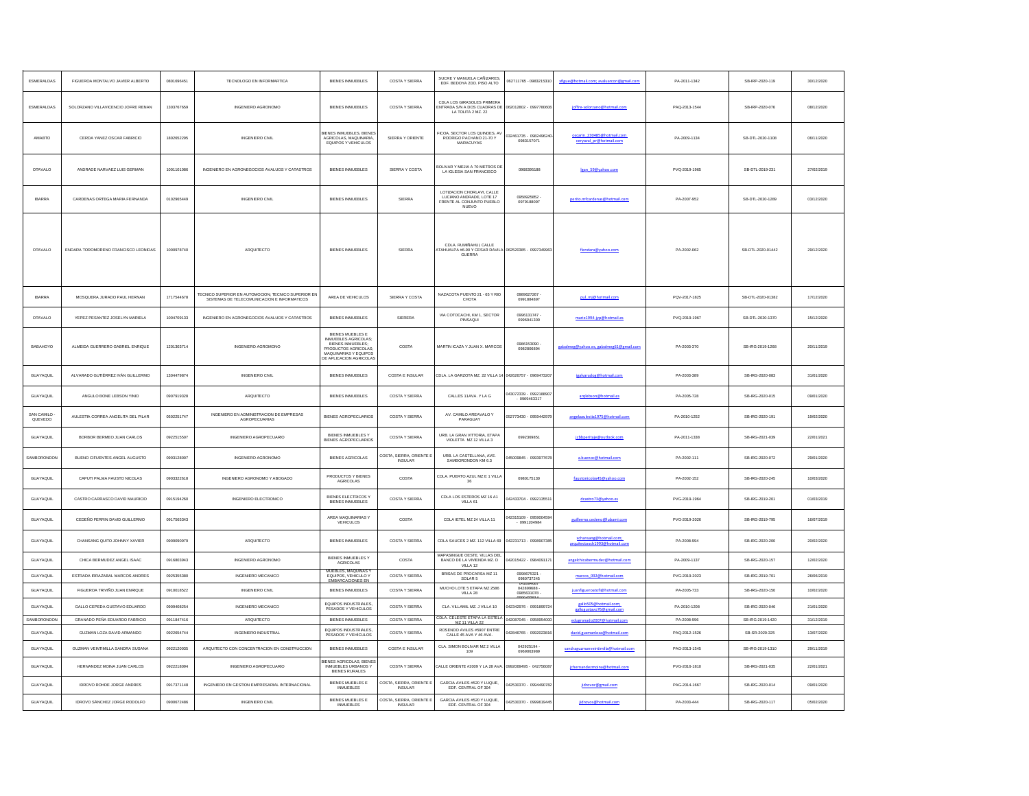| ESMERALDAS            | FIGUEROA MONTALVO JAVIER ALBERTO     | 0801696451 | <b>TECNOLOGO EN INFORMARTICA</b>                                                                          | <b>BIENES INMUEBLES</b>                                                                                       | COSTA Y SIERRA                             | SUCRE Y MANUELA CAÑIZARES<br>EDF. BEDOYA 2DO. PISO ALTO                                         | 062711765 - 0983215310                 |                                                         | PA-2011-1342  | SB-IRP-2020-119   | 30/12/2020 |
|-----------------------|--------------------------------------|------------|-----------------------------------------------------------------------------------------------------------|---------------------------------------------------------------------------------------------------------------|--------------------------------------------|-------------------------------------------------------------------------------------------------|----------------------------------------|---------------------------------------------------------|---------------|-------------------|------------|
| <b>ESMERALDAS</b>     | SOLORZANO VILLAVICENCIO JOFRE RENAN  | 1303767659 | INGENIERO AGRONOMO                                                                                        | <b>BIENES INMUEBLES</b>                                                                                       | COSTA Y SIERRA                             | CDLA LOS GIRASOLES PRIMERA<br>ENTRADA S/N A DOS CUADRAS DE<br>LA TOLITA 2 MZ. 22                | 062012802 - 099778060                  | joffre-solorzano@hotmail.com                            | PAQ-2013-1544 | SB-IRP-2020-076   | 08/12/2020 |
| AMABTO                | CERDA YANEZ OSCAR FABRICIO           | 1802652295 | <b>INGENIERO CIVIL</b>                                                                                    | <b>IENES INMUEBLES, BIENES</b><br>AGRICOLAS, MAQUINARIA<br>EQUIPOS Y VEHICULOS                                | SIERRA Y ORIENTE                           | <b>TCOA, SECTOR LOS QUINDES, AV</b><br>RODRIGO PACHANO 21-70 Y<br>MARACUYAS                     | 032461735 - 098249624<br>0983157071    | oscarin 230485@hotmail.com<br>ceryaval pr@hotmail.com   | PA-2009-1134  | SB-DTL-2020-1108  | 06/11/2020 |
| <b>OTAVALO</b>        | ANDRADE NARVAEZ LUIS GERMAN          | 1001101086 | INGENIERO EN AGRONEGOCIOS AVALUOS Y CATASTROS                                                             | <b>BIENES INMUEBLES</b>                                                                                       | SIERRA Y COSTA                             | <b>SOLIVAR Y MEJIA A 70 METROS DE</b><br>LA IGLESIA SAN FRANCISCO                               | 0968395188                             | Igan 59@yahoo.com                                       | PVQ-2019-1965 | SB-DTL-2019-231   | 27/02/2019 |
| <b>IBARRA</b>         | CARDENAS ORTEGA MARIA FERNANDA       | 0102965449 | <b>INGENIERO CIVIL</b>                                                                                    | <b>BIENES INMUEBLES</b>                                                                                       | SIERRA                                     | LOTIZACION CHORLAVI, CALLE<br><b>LUCIANO ANDRADE LOTE 17</b><br>FRENTE AL CONJUNTO PUEBLO       | 0958925852<br>0979188097               | perito.mfcardenas@hotmail.com                           | PA-2007-952   | SB-DTL-2020-1289  | 03/12/2020 |
| <b>OTAVALO</b>        | ENDARA TOROMORENO FRANCISCO LEONIDAS | 1000978740 | ARQUITECTO                                                                                                | <b>BIENES INMUEBLES</b>                                                                                       | SIERRA                                     | CDLA. RUMIÑAHUI, CALLE<br>TAHUALPA #6-90 Y CESAR DAVILA 062520385 - 0997349963<br><b>GUERRA</b> |                                        | flendara@vahoo.com                                      | PA-2002-062   | SB-DTL-2020-01442 | 29/12/2020 |
| <b>IBARRA</b>         | MOSQUERA JURADO PAUL HERNAN          | 1717544678 | <b>TECNICO SUPERIOR EN AUTOMOCION; TECNICO SUPERIOR EN</b><br>SISTEMAS DE TELECOMUNICACION E INFORMATICOS | AREA DE VEHICULOS                                                                                             | SIERRA Y COSTA                             | NAZACOTA PUENTO 21 - 65 Y RIO<br>CHOTA                                                          | 0989627267<br>0991884897               | pul mj@hotmail.com                                      | PQV-2017-1825 | SB-DTL-2020-01382 | 17/12/2020 |
| <b>OTAVALO</b>        | YEPEZ PESANTEZ JOSELYN MARIELA       | 1004709133 | INGENIERO EN AGRONEGOCIOS AVALUOS Y CATASTROS                                                             | <b>BIENES INMUEBLES</b>                                                                                       | SIERERA                                    | VIA COTOCACHI, KM 1, SECTOR<br>PINSAQUI                                                         | 0998131747<br>0996941300               | marie1994-jyp@hotmail.es                                | PVQ-2019-1967 | SB-DTL-2020-1370  | 15/12/2020 |
| BABAHOYO              | ALMEIDA GUERRERO GABRIEL ENRIQUE     | 1201303714 | INGENIERO AGROMONO                                                                                        | BIENES MUEBLES E<br>INMUEBLES AGRICOLAS;<br>BIENES INMUEBLES;<br>PRODUCTOS AGRICOLAS<br>MAQUINARIAS Y EQUIPOS | COSTA                                      | MARTIN ICAZA Y JUAN X. MARCOS                                                                   | 0986153090<br>0982806894               | rabalmeg@yahoo.es.gabalmeg61@gmail.com                  | PA-2003-370   | SB-IRG-2019-1268  | 20/11/2019 |
| <b>GUAYAQUIL</b>      | ALVARADO GUTIÉRREZ IVÁN GUILLERMO    | 1304479874 | INGENIERO CIVIL                                                                                           | <b>BIENES INMUEBLES</b>                                                                                       | <b>COSTA E INSULAR</b>                     | CDLA. LA GARZOTA MZ. 22 VILLA 14                                                                | 042626757 - 096947320                  | igalvaradog@hotmail.com                                 | PA-2003-389   | SB-IRG-2020-083   | 31/01/2020 |
| GLIAYAOUL             | ANGULO BONE LEBSON YINIO             | 0907919328 | <b>AROUITECTO</b>                                                                                         | <b>BENES INMUERLES</b>                                                                                        | COSTA Y SIERRA                             | CALLES 11AVA, Y LA G                                                                            | 043072339 - 099218890<br>$-0969463317$ | arglebson@hotmail.es                                    | PA-2005-728   | SB-IRG-2020-015   | 09/01/2020 |
| SAN CAMILO<br>QUEVEDO | AULESTIA CORREA ANGELITA DEL PILAR   | 0502251747 | INGENIERO EN ADMINISTRACION DE EMPRESAS<br>AGROPECUARIAS                                                  | BIENES AGROPECUARIOS                                                                                          | COSTA Y SIERRA                             | AV. CAMILO AREAVALO Y<br>PARAGUAY                                                               | 052773430 - 095944297                  | angelaaulestia1975@hotmail.com                          | PA-2010-1252  | SB-IRG-2020-191   | 19/02/2020 |
| GUAYAQUIL             | BORBOR BERMEO JUAN CARLOS            | 0922515507 | INGENIERO AGROPECUARIO                                                                                    | BIENES INMUEBLES Y<br>BIENES AGROPECUARIOS                                                                    | COSTA Y SIERRA                             | URB. LA GRAN VITTORIA, ETAPA<br>VIOLETTA MZ 12 VILLA 3                                          | 0992369851                             |                                                         | PA-2011-1338  | SB-IRG-2021-039   | 22/01/2021 |
| SAMBORONDON           | BUENO CIFUENTES ANGEL AUGUSTO        | 0903128007 | <b>INGENIERO AGRONOMO</b>                                                                                 | <b>BIENES AGRICOLAS</b>                                                                                       | COSTA, SIERRA, ORIENTE E<br><b>INSULAR</b> | URB. LA CASTELLANA, AVE.<br>SAMBORONDON KM 6.3                                                  | 45009845 - 0993977678                  | a.buenoc@hotmail.com                                    | PA-2002-111   | SB-IRG-2020-072   | 29/01/2020 |
| <b>GUAYAQUIL</b>      | CAPUTI PALMA FAUSTO NICOLAS          | 0903322618 | INGENIERO AGRONOMO Y ABOGADO                                                                              | PRODUCTOS Y BIENES<br>AGRICOLAS                                                                               | COSTA                                      | CDLA. PUERTO AZUL MZ E 1 VILLA<br>36                                                            | 0980175130                             | faustonicolas45@yahoo.com                               | PA-2002-152   | SB-IRG-2020-245   | 10/03/2020 |
| GLIAYAOUL             | CASTRO CARRASCO DAVID MAURICIO       | 0915194280 | INGENIERO ELECTRONICO                                                                                     | <b>BIENES ELECTRICOS \</b><br><b>BIENES INMUEBLES</b>                                                         | COSTA Y SIERRA                             | CDLA LOS ESTEROS MZ 16 A1<br>VILLA 61                                                           | 042433704 - 099213551                  | dcastro73@yahoo.es                                      | PVG-2019-1984 | SB-IRG-2019-201   | 01/03/2019 |
| GUAYAQUIL             | CEDEÑO FERRIN DAVID GUILLERMO        | 0917565343 |                                                                                                           | AREA MAQUINARIAS Y<br>VEHICULOS                                                                               | COSTA                                      | CDLA IETEL MZ 24 VILLA 11                                                                       | 042315109 - 095900459                  |                                                         | PVG-2019-2026 | SB-IRG-2019-795   | 16/07/2019 |
| <b>GUAYAQUIL</b>      | CHANSANG QUITO JOHNNY XAVIER         | 0909090979 | ARQUITECTO                                                                                                | <b>BIENES INMUEBLES</b>                                                                                       | COSTA Y SIERRA                             | CDLA SAUCES 2 MZ. 112 VILLA 69                                                                  | 042231713 - 099890738                  | xchansang@hotmail.com;<br>arquitectoxch1993@hotmail.com | PA-2008-994   | SB-IRG-2020-200   | 20/02/2020 |
| GUAYAQUIL             | CHICA BERMUDEZ ANGEL ISAAC           | 0916803943 | INGENIERO AGRONOMO                                                                                        | BIENES INMUEBLES Y<br>AGRICOLAS                                                                               | COSTA                                      | MAPASINGUE OESTE, VILLAS DE<br>BANCO DE LA VIVIENDA MZ. D<br>VILLA 12                           | 042015422 - 098409117                  | angelchicabermudez@hotmail.com                          | PA-2009-1137  | SB-IRG-2020-157   | 12/02/2020 |
| <b>GUAYAQUIL</b>      | ESTRADA IRRAZABAL MARCOS ANDRES      | 0925355380 | <b>INGENIERO MECANICO</b>                                                                                 | MUEBLES, MAQUINAS Y<br>EQUIPOS, VEHICULO Y<br><b>EMBARCACIONES EN</b>                                         | COSTA Y SIERRA                             | BRISAS DE PROCARSA MZ 11<br>SOLAR 5                                                             | 0998675321<br>0980737245               | marcos 092@hotmail.com                                  | PVG-2019-2023 | SB-IRG-2019-701   | 26/06/2019 |
| <b>GUAYAQUIL</b>      | FIGUEROA TRIVIÑO JUAN ENRIQUE        | 0910018522 | <b>INGENIERO CIVIL</b>                                                                                    | <b>BIENES INMUEBLES</b>                                                                                       | COSTA Y SIERRA                             | MUCHO LOTE 5 ETAPA MZ 2586<br>VILLA 28                                                          | 042899688<br>0985631078                | juanfigueroatofi@hotmail.com                            | PA-2005-733   | SB-IRG-2020-150   | 10/02/2020 |
| GUAYAQUIL             | GALLO CEPEDA GUSTAVO EDUARDO         | 0909408254 | INGENIERO MECANICO                                                                                        | EQUIPOS INDUSTRIALES,<br>PESADOS Y VEHICULOS                                                                  | COSTA Y SIERRA                             | CLA. VILLAMIL MZ. J VILLA 10                                                                    | 42342976 - 099189972                   | gallo505@hotmail.com;<br>wo76@gmail.com                 | PA-2010-1208  | SB-IRG-2020-046   | 21/01/2020 |
| SAMBORONDO            | GRANADO PEÑA EDUARDO FABRICIO        | 0911847416 | ARQUITECTO                                                                                                | <b>BIENES INMUEBLES</b>                                                                                       | COSTA Y SIERRA                             | CDLA. CELESTE ETAPA LA ESTELA 042087045 - 095895400<br>MZ 11 VILLA 2                            |                                        | edugranado2007@hotmail.con                              | PA-2008-996   | SB-IRG-2019-1420  | 31/12/2019 |
| GUAYAQUIL             | GUZMAN LOZA DAVID ARMANDO            | 0922654744 | INGENIERO INDUSTRIAL                                                                                      | EQUIPOS INDUSTRIALES,<br>PESADOS Y VEHÍCULOS                                                                  | COSTA Y SIERRA                             | ROSENDO AVILES #5907 ENTRE<br>CALLE 45 AVA Y 46 AVA.                                            | 42846765 - 099202381                   | david.eu.                                               | PAQ-2012-1526 | SB-SR-2020-325    | 13/07/2020 |
| GLIAYAOUL             | GUZMAN VEINTIMILLA SANDRA SUSANA     | 0922120035 | ARQUITECTO CON CONCENTRACION EN CONSTRUCCION                                                              | <b>BIENES INMUEBLES</b>                                                                                       | <b>COSTA E INSULAR</b>                     | CLA. SIMON BOLIVAR MZ 2 VILLA<br>109                                                            | 042925194<br>0969063989                |                                                         | PAG-2013-1545 | SB-IRG-2019-1310  | 29/11/2019 |
| GUAYAQUIL             | HERNANDEZ MOINA JUAN CARLOS          | 0922218094 | INGENIERO AGROPECUARIO                                                                                    | <b>NENES AGRICOLAS BIENES</b><br>INMUEBLES URBANOS                                                            | COSTA Y SIERRA                             | ALLE ORIENTE #2009 Y LA 28 AV                                                                   | 992069495 - 04275608                   | jchernandezmoina@hotmail.com                            | PVG-2016-1810 | SB-IRG-2021-035   | 22/01/2021 |
| <b>GUAYAQUIL</b>      | <b>IDROVO ROHDE JORGE ANDRES</b>     | 0917371148 | INGENIERO EN GESTION EMPRESARIAL INTERNACIONAL                                                            | <b>BIENES MUEBLES E</b><br><b>INMUEBLES</b>                                                                   | COSTA, SIERRA, ORIENTE E<br><b>INSULAR</b> | GARCIA AVILES #520 Y LUQUE.<br>EDF. CENTRAL OF 304                                              | 42530370 - 099449078                   | iidrovor@gmail.com                                      | PAG-2014-1667 | SB-IRG-2020-014   | 09/01/2020 |
| <b>GUAYAQUIL</b>      | <b>IDROVO SÁNCHEZ JORGE RODOLFO</b>  | 0900672486 | <b>INGENIERO CIVIL</b>                                                                                    | <b>BIENES MUEBLES E</b><br><b>INMUEBLES</b>                                                                   | COSTA, SIERRA, ORIENTE E<br><b>INSULAR</b> | GARCIA AVILES #520 Y LUQUE<br>EDF. CENTRAL OF 304                                               | 042530370 - 099961944                  | iidrovos@hotmail.com                                    | PA-2003-444   | SB-IRG-2020-117   | 05/02/2020 |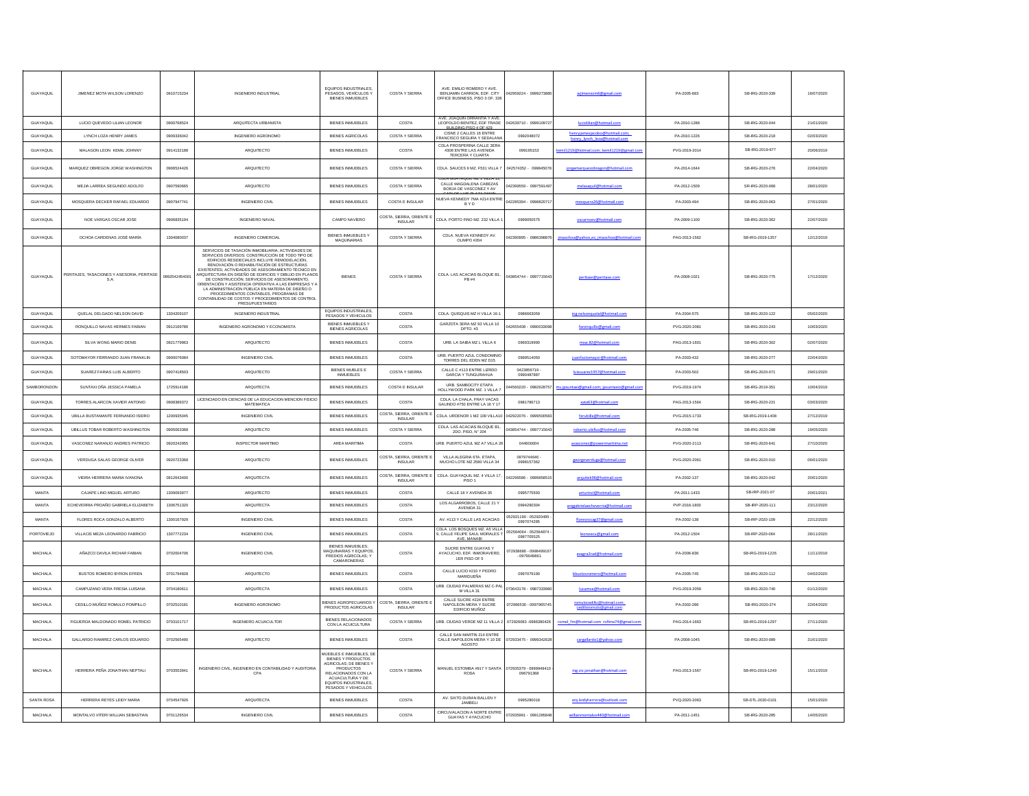| GUAYAQUIL        | JIMENEZ MOTA WILSON LORENZO                       | 0910715234    | INGENIERO INDUSTRIAL                                                                                                                                                                                                                                                                                                                                                                                                                                                                                                                                                                                      | EQUIPOS INDUSTRIALES,<br>PESADOS, VEHÍCULOS Y<br><b>BIENES INMUEBLES</b>                                                                                                                             | COSTA Y SIERRA                             | AVE. EMILIO ROMERO Y AVE.<br>BENJAMIN CARRION, EDF. CITY<br>OFFICE BUSINESS, PISO 3 OF. 328 | 42959224 - 0999273885                 | nezm6@gmail.com                                                  | PA-2005-683   | SB-IRG-2020-339  | 16/07/2020 |
|------------------|---------------------------------------------------|---------------|-----------------------------------------------------------------------------------------------------------------------------------------------------------------------------------------------------------------------------------------------------------------------------------------------------------------------------------------------------------------------------------------------------------------------------------------------------------------------------------------------------------------------------------------------------------------------------------------------------------|------------------------------------------------------------------------------------------------------------------------------------------------------------------------------------------------------|--------------------------------------------|---------------------------------------------------------------------------------------------|---------------------------------------|------------------------------------------------------------------|---------------|------------------|------------|
| <b>GUAYAQUIL</b> | LUCIO QUEVEDO LILIAN LEONOR                       | 0900768524    | ARQUITECTA URBANISTA                                                                                                                                                                                                                                                                                                                                                                                                                                                                                                                                                                                      | <b>BIENES INMUEBLES</b>                                                                                                                                                                              | COSTA                                      | AVE. JOAQUIN ORRANTIA Y AVE<br>LEOPOLDO BENITEZ, EDF TRADE                                  | 042639710 - 0999109727                | luciolilian@hotmail.com                                          | PA-2010-1288  | SB-IRG-2020-044  | 21/01/2020 |
| GLIAYAOUL        | <b>I YNCH LOZA HENRY JAMES</b>                    | 0909336042    | INGENIERO AGRONOMO                                                                                                                                                                                                                                                                                                                                                                                                                                                                                                                                                                                        | BIENES AGRICOLAS                                                                                                                                                                                     | COSTA Y SIERRA                             | BUILDING PISO 4 OF 429<br>CISNE 2 CALLES 16 ENTRE<br>RANCISCO SEGURA Y SEDALAN              | 0992048072                            | henryjamesjacobo@hotmail.com<br>and founds, foundations and con- | PA-2010-1226  | SB-IRG-2020-218  | 02/03/2020 |
| GUAYAQUIL        | MALAGON LEON KEMIL JOHNNY                         | 0914132188    | ARQUITECTO                                                                                                                                                                                                                                                                                                                                                                                                                                                                                                                                                                                                | <b>BIENES INMUEBLES</b>                                                                                                                                                                              | COSTA                                      | CDLA PROSPERINA CALLE 3ERA<br>#308 ENTRE LAS AVENIDA<br>TERCERA Y CUARTA                    | 099195153                             | emil1219@hotmail.com; kemil1219@gmail.c                          | PVG-2019-2014 | SB-IRG-2019-677  | 20/06/2019 |
| <b>GUAYAQUIL</b> | MARQUEZ OBREGON JORGE WASHINGTON                  | 0906524426    | ARQUITECTO                                                                                                                                                                                                                                                                                                                                                                                                                                                                                                                                                                                                | <b>BIENES INMUEBLES</b>                                                                                                                                                                              | <b>COSTA Y SIERRA</b>                      | CDLA. SAUCES 9 MZ. F531 VILLA 7                                                             | 042574352 - 09984507                  | jorgemarquezobregon@hotmail.com                                  | PA-2014-1644  | SB-IRG-2020-276  | 22/04/2020 |
| GUAYAQUIL        | MEJIA LARREA SEGUNDO ADOLFO                       | 0907590665    | AROUITECTO                                                                                                                                                                                                                                                                                                                                                                                                                                                                                                                                                                                                | <b>BIENES INMUEBLES</b>                                                                                                                                                                              | COSTA Y SIERRA                             | CALLE MAGDALENA CABEZAS<br>BORJA DE VASCONEZ Y AV                                           | 42399559 - 099759149                  | melasaquil@hotmail.com                                           | PA-2012-1509  | SR-IRG-2020-068  | 28/01/2020 |
| GUAYAQUIL        | MOSQUERA DECKER RAFAEL EDUARDO                    | 0907947741    | <b>INGENIERO CIVIL</b>                                                                                                                                                                                                                                                                                                                                                                                                                                                                                                                                                                                    | <b>BIENES INMUEBLES</b>                                                                                                                                                                              | COSTA E INSULAR                            | VUEVA KENNEDY 7MA #214 ENTRE<br>BYD                                                         | 042285394 - 099882071                 | quera26@hotmail.com                                              | PA-2003-494   | SB-IRG-2020-063  | 27/01/2020 |
| GUAYAQUIL        | NOE VARGAS OSCAR JOSE                             | 0906835194    | <b>INGENIERO NAVAL</b>                                                                                                                                                                                                                                                                                                                                                                                                                                                                                                                                                                                    | CAMPO NAVIERO                                                                                                                                                                                        | COSTA, SIERRA, ORIENTE                     | CDLA. PORTO FINO MZ. 232 VILLA                                                              | 0999050575                            | oscarnoev@hotmail.com                                            | PA-2009-1100  | SB-IRG-2020-362  | 22/07/2020 |
| GUAYAQUIL        | OCHOA CARDENAS JOSÉ MARÍA                         | 1304080037    | <b>INGENIERO COMERCIAL</b>                                                                                                                                                                                                                                                                                                                                                                                                                                                                                                                                                                                | BIENES INMUEBLES Y<br><b>MAQUINARIAS</b>                                                                                                                                                             | COSTA Y SIERRA                             | CDLA. NUEVA KENNEDY AV.<br>OLIMPO #204                                                      | 42390995 - 0986398876                 | jmaochoa@yahoo,es; jmaochoa@hotmail.cor                          | PAG-2013-1562 | SB-IRG-2019-1357 | 12/12/2019 |
| GUAYAQUIL        | PERITAJES, TASACIONES Y ASESORIA, PERITASE<br>S.A | 0992542454001 | SERVICIOS DE TASACIÓN INMOBILIARIA; ACTIVIDADES DE<br>SERVICIOS DIVERSOS; CONSTRUCCIÓN DE TODO TIPO DE<br>EDIFICIOS RESIDECIALES INCLUYE REMODELACIÓN.<br>ENOVACIÓN O REHABILITACIÓN DE ESTRUCTURAS<br>EXISTENTES; ACTIVIDADES DE ASESORAMIENTO TÉCNICO EN<br>ARQUITECTURA EN DISEÑO DE EDIFICIOS Y DIBUJO EN PLANOS<br>DE CONSTRUCCIÓN; SERVICIOS DE ASESORAMIENTO,<br>ORIENTACIÓN Y ASISTENCIA OPERATIVA A LAS EMPRESAS Y<br>LA ADMINISTRACIÓN PÚBLICA EN MATERIA DE DISEÑO O<br>PROCEDIMIENTOS CONTABLES, PROGRAMAS DE<br>CONTABILIDAD DE COSTOS Y PROCEDIMIENTOS DE CONTABL<br><b>PRESUPUESTARIOS</b> | <b>BIENES</b>                                                                                                                                                                                        | COSTA Y SIERRA                             | CDLA. LAS ACACIAS BLOQUE B1, $PB$ #4                                                        | 043854744 - 0997715643                |                                                                  | PA-2008-1021  | SB-IRG-2020-775  | 17/12/2020 |
| GUAYAQUIL        | QUELAL DELGADO NELSON DAVID                       | 1304209107    | INGENIERO INDUSTRIAL                                                                                                                                                                                                                                                                                                                                                                                                                                                                                                                                                                                      | EQUIPOS INDUSTRIALES<br>PESADOS Y VEHICULOS                                                                                                                                                          | COSTA                                      | CDLA. QUISQUIS MZ H VILLA 16-1                                                              | 0986663059                            | ing.nelsonquelal@hotmail.com                                     | PA-2004-575   | SB-IRG-2020-122  | 05/02/2020 |
| GUAYAQUIL        | RONQUILLO NAVAS HERMES FABIAN                     | 0912169786    | INGENIERO AGRONOMO Y ECONOMISTA                                                                                                                                                                                                                                                                                                                                                                                                                                                                                                                                                                           | BIENES INMUEBLES Y<br>BIENES AGRICOLAS                                                                                                                                                               | COSTA                                      | GARZOTA 3ERA MZ 93 VILLA 10                                                                 | 42655408 - 09900330                   | faron                                                            | PVG-2020-208  | SB-IRG-2020-243  | 10/03/2020 |
| GUAYAQUIL        | SILVA WONG MARIO DENIS                            | 0921779963    | ARQUITECTO                                                                                                                                                                                                                                                                                                                                                                                                                                                                                                                                                                                                | <b>BIENES INMUEBLES</b>                                                                                                                                                                              | COSTA                                      | URB. LA SAIBA MZ L VILLA 6                                                                  | 0969319990                            | msw.82@hotmail.com                                               | PAG-2013-1601 | SB-IRG-2020-302  | 02/07/2020 |
| GUAYAQUIL        | SOTOMAYOR FERRANDO JUAN FRANKLIN                  | 0900076084    | <b>INGENIERO CIVIL</b>                                                                                                                                                                                                                                                                                                                                                                                                                                                                                                                                                                                    | <b>BIENES INMUEBLES</b>                                                                                                                                                                              | COSTA                                      | URB. PUERTO AZUL CONDOMINI<br>TORRES DEL EDEN MZ D15                                        | 0999514050                            | juanfsotomayor@hotmail.com                                       | PA-2003-432   | SB-IRG-2020-277  | 22/04/2020 |
| GUAYAQUIL        | SUAREZ FARIAS LUIS ALBERTO                        | 0907418503    | ARQUITECTO                                                                                                                                                                                                                                                                                                                                                                                                                                                                                                                                                                                                | BIENES MUBLES E                                                                                                                                                                                      | COSTA Y SIERRA                             | CALLE C #113 ENTRE LIZRDO<br>GARCIA Y TUNGURAHUA                                            | 0423856719<br>0990487887              | arez1957@hotmail.com                                             | PA-2003-502   | SB-IRG-2020-071  | 29/01/2020 |
| SAMBORONDON      | SUNTAXI OÑA JESSICA PAMELA                        | 1725914186    | ARQUITECTA                                                                                                                                                                                                                                                                                                                                                                                                                                                                                                                                                                                                | BIENES INMUEBLES                                                                                                                                                                                     | COSTA E INSULAR                            | URB. SAMBOCITY ETAPA<br>HOLLYWOOD PARK MZ. 1 VILLA                                          | 4560220 - 098262875                   |                                                                  | PVG-2019-1974 | SB-IRG-2019-351  | 10/04/2019 |
| <b>GUAYAQUIL</b> | TORRES ALARCON XAVIER ANTONIO                     | 0908389372    | LICENCIADO EN CIENCIAS DE LA EDUCACIÓN MENCIÓN FISICIO<br><b>MATEMATICA</b>                                                                                                                                                                                                                                                                                                                                                                                                                                                                                                                               | <b>BIENES INMUEBLES</b>                                                                                                                                                                              | COSTA                                      | CDLA, LA CHALA, FRAY VACAS<br>GALINDO #750 ENTRE LA 16 Y 17                                 | 0981786713                            | real lismtod@Fastsx                                              | PAG-2013-1564 | SB-IRG-2020-221  | 03/03/2020 |
| GUAYAQUIL        | <b>UBILLA BUSTAMANTE FERNANDO ISIDRO</b>          | 1200935045    | <b>INGENIERO CIVIL</b>                                                                                                                                                                                                                                                                                                                                                                                                                                                                                                                                                                                    | <b>BIENES INMUEBLES</b>                                                                                                                                                                              | COSTA, SIERRA, ORIENTE E                   | CDLA. URDENOR 1 MZ 109 VILLA10                                                              | 042922076 - 09995005                  | ferubilla@hotmail.com                                            | PVG-2015-1733 | SB-IRG-2019-1408 | 27/12/2019 |
| GUAYAQUIL        | UBILLUS TOBAR ROBERTO WASHINGTON                  | 0905063368    | ARQUITECTO                                                                                                                                                                                                                                                                                                                                                                                                                                                                                                                                                                                                | <b>BIENES INMUEBLES</b>                                                                                                                                                                              | COSTA Y SIERRA                             | CDLA. LAS ACACIAS BLOQUE B1,<br>2DO. PISO, Nº 204                                           | 43854744 - 0997715643                 | roberto.ubillus@hotmail.con                                      | PA-2005-746   | SB-IRG-2020-288  | 19/05/2020 |
| GUAYAQUIL        | VASCONEZ NARANJO ANDRES PATRICIO                  | 0920242955    | <b>INSPECTOR MARITIMO</b>                                                                                                                                                                                                                                                                                                                                                                                                                                                                                                                                                                                 | AREA MARITIMA                                                                                                                                                                                        | COSTA                                      | JRB. PUERTO AZUL MZ A7 VILLA 2                                                              | 044600004                             | conez@powermaritima.net                                          | PVG-2020-2113 | SB-IRG-2020-641  | 27/10/2020 |
| GUAYAQUIL        | VERDUGA SALAS GEORGE OLIVER                       | 0920723368    | ARQUITECTO                                                                                                                                                                                                                                                                                                                                                                                                                                                                                                                                                                                                | <b>BIENES INMUEBLES</b>                                                                                                                                                                              | COSTA, SIERRA, ORIENTE<br><b>INSULAR</b>   | VILLA ALEGRIA 6TA. ETAPA,<br>MUCHO LOTE MZ 2580 VILLA 34                                    | 0979744646<br>0998157362              | georgeverduga@hotmail.com                                        | PVG-2020-2061 | SB-IRG-2020-010  | 06/01/2020 |
| GUAYAQUIL        | VIEIRA HERRERA MARIA IVANONA                      | 0912643400    | ARQUITECTA                                                                                                                                                                                                                                                                                                                                                                                                                                                                                                                                                                                                | <b>BIENES INMUEBLES</b>                                                                                                                                                                              | COSTA, SIERRA, ORIENTE I<br><b>INSULAR</b> | CDLA. GUAYAQUIL MZ. 4 VILLA 17<br>PISO <sub>1</sub>                                         | 42296586 - 099985851                  | arouitek96@hotmail.com                                           | PA-2002-137   | SB-IRG-2020-042  | 20/01/2020 |
| MANTA            | CAJAPE LINO MIGUEL ARTURO                         | 1309093977    | ARQUITECTO                                                                                                                                                                                                                                                                                                                                                                                                                                                                                                                                                                                                | <b>BIENES INMUEBLES</b>                                                                                                                                                                              | COSTA                                      | CALLE 18 Y AVENIDA 35                                                                       | 0995775593                            | arturincl@hotmail.com                                            | PA-2011-1433  | SB-IRP-2021-07   | 20/01/2021 |
| MANTA            | ECHEVERRIA PROAÑO GABRIELA ELIZABETH              | 1306751320    | ARQUITECTA                                                                                                                                                                                                                                                                                                                                                                                                                                                                                                                                                                                                | <b>BIENES INMUEBLES</b>                                                                                                                                                                              | COSTA                                      | LOS ALGARROBOS, CALLE 21<br>AVENIDA 31                                                      | 0994290304                            | argeabrielaecheverria@hotmail.com                                | PVP-2016-1800 | SB-IRP-2020-111  | 23/12/2020 |
| MANTA            | FLORES ROCA GONZALO ALBERTO                       | 1300167929    | <b>INGENIERO CIVIL</b>                                                                                                                                                                                                                                                                                                                                                                                                                                                                                                                                                                                    | <b>BIENES INMUEBLES</b>                                                                                                                                                                              | COSTA                                      | AV. #113 Y CALLE LAS ACACIAS                                                                | 152921190 - 052920495<br>0997074285   | floresrocae37@gmail.com                                          | PA-2002-138   | SB-IRP-2020-109  | 22/12/2020 |
| PORTOVIEJO       | VILLACIS MEZA LEONARDO FABRICIO                   | 1307772234    | <b>INGENIERO CIVIL</b>                                                                                                                                                                                                                                                                                                                                                                                                                                                                                                                                                                                    | <b>BIENES INMUEBLES</b>                                                                                                                                                                              | COSTA                                      | CDLA. LOS BOSQUES MZ. A5 VILLA<br>9, CALLE FELIPE SAUL MORALES 1<br>AVE. MANABI             | 52564064 - 052564874<br>0987705525    | oecu@gmail.com                                                   | PA-2012-1504  | SB-IRP-2020-064  | 28/11/2020 |
| <b>MACHALA</b>   | AÑAZCO DAVILA RICHAR FABIAN                       | 0702004706    | <b>INGENIERO CIVIL</b>                                                                                                                                                                                                                                                                                                                                                                                                                                                                                                                                                                                    | <b>BIENES INMUERLES</b><br>BIENES ININGEBLES,<br>MAQUINARIAS Y EQUIPOS<br>PREDIOS AGRICOLAS; Y<br>CAMARONERAS                                                                                        | COSTA                                      | SUCRE ENTRE GUAYAS Y<br>AYACUCHO, EDF. INMORAVERD,<br>1ER PISO OF 5                         | 72938680 - 099849916<br>$-0979049861$ | avagra2rad@hotmail.com                                           | PA-2006-836   | SB-IRG-2019-1226 | 11/11/2019 |
| <b>MACHALA</b>   | <b>BUSTOS ROMERO BYRON EFREN</b>                  | 0701794828    | ARQUITECTO                                                                                                                                                                                                                                                                                                                                                                                                                                                                                                                                                                                                | <b>BIENES INMUEBLES</b>                                                                                                                                                                              | COSTA                                      | CALLE LUCIO #210 Y PEDRO<br>MARIDUEÑA                                                       | 0997079190                            | ro@hotmail.com                                                   | PA-2005-745   | SB-IRG-2020-112  | 04/02/2020 |
| <b>MACHALA</b>   | CAMPUZANO VERA FRESIA LUISANA                     | 0704180611    | ARQUITECTA                                                                                                                                                                                                                                                                                                                                                                                                                                                                                                                                                                                                | BIENES INMUEBLES                                                                                                                                                                                     | COSTA                                      | URB. CIUDAD PALMERAS MZ C-PAL<br>M VILLA 31                                                 | 73643178 - 098733396                  | lucamve@hotmail.com                                              | PVG-2019-2059 | SB-IRG-2020-740  | 01/12/2020 |
| <b>MACHALA</b>   | CEDILLO MUÑOZ ROMULO POMPILLO                     | 0702510181    | <b>INGENIERO AGRONOMO</b>                                                                                                                                                                                                                                                                                                                                                                                                                                                                                                                                                                                 | <b>BIENES AGROPECUARIOS Y</b><br>PRODUCTOS AGRICOLAS                                                                                                                                                 | COSTA, SIERRA, ORIENTE I<br><b>INSULAR</b> | CALLE SUCRE #224 ENTRE<br>NAPOLEON MERA Y SUCRE<br>EDIFICIO MUÑOZ                           | 072966530 - 099796574                 |                                                                  | PA-2002-286   | SB-IRG-2020-274  | 22/04/2020 |
| <b>MACHALA</b>   | FIGUEROA MALDONADO ROMEL PATRICIO                 | 0703101717    | <b>INGENIERO ACUACULTOR</b>                                                                                                                                                                                                                                                                                                                                                                                                                                                                                                                                                                               | <b>BIENES RELACIONADOS</b><br>CON LA ACUICULTURA                                                                                                                                                     | COSTA Y SIERRA                             | JRB. CIUDAD VERDE MZ 11 VILLA 2                                                             | 072926083-0986380426                  | romel fm@hotmail.com rofima74@gmail.co                           | PAG-2014-1663 | SB-IRG-2019-1297 | 27/11/2020 |
| MACHALA          | GALLARDO RAMIREZ CARLOS EDUARDO                   | 0702565490    | ARQUITECTO                                                                                                                                                                                                                                                                                                                                                                                                                                                                                                                                                                                                | <b>BIENES INMUEBLES</b>                                                                                                                                                                              | COSTA                                      | CALLE SAN MARTIN 214 ENTRE<br>CALLE NAPOLEON MERA Y 10 DE<br>AGOSTO                         | 172933475 - 0999342628                | cargallardo1@yahoo.com                                           | PA-2008-1045  | SB-IRG-2020-089  | 31/01/2020 |
| MACHALA          | HERRERA PEÑA JONATHAN NEPTALI                     | 0703553941    | INGENIERO CIVIL, INGENIERO EN CONTABILIDAD Y AUDITORIA<br>CPA                                                                                                                                                                                                                                                                                                                                                                                                                                                                                                                                             | MUEBLES E INMUEBLES; DE<br><b>BIENES Y PRODUCTOS</b><br><b>AGRICOLAS: DE BIENES Y</b><br><b>PRODUCTOS</b><br>RELACIONADOS CON LA<br>ACUACULTURA Y DE<br>EQUIPOS INDUSTRIALES,<br>PESADOS Y VEHICULOS | COSTA Y SIERRA                             | MANUEL ESTOMBA #917 Y SANTA<br>ROSA                                                         | 072935379 - 0999949410<br>096791368   |                                                                  | PAG-2013-1567 | SB-IRG-2019-1249 | 15/11/2019 |
| SANTA ROSA       | HERRERA REYES LEIDY MARIA                         | 0704547926    | ARQUITECTA                                                                                                                                                                                                                                                                                                                                                                                                                                                                                                                                                                                                | <b>BIENES INMUEBLES</b>                                                                                                                                                                              | COSTA                                      | AV. SIXTO DURAN BALLEN Y<br>JAMBELI                                                         | 0995280018                            | arq.leidyherrera@outlook.com                                     | PVQ-2020-2063 | SB-DTL-2020-0101 | 15/01/2020 |
| <b>MACHALA</b>   | MONTALVO VITERI WILLIAN SEBASTIAN                 | 0701126534    | INGENIERO CIVIL                                                                                                                                                                                                                                                                                                                                                                                                                                                                                                                                                                                           | <b>BIENES INMUEBLES</b>                                                                                                                                                                              | COSTA                                      | CIRCUVALACION A NORTE ENTRE<br>GUAYAS Y AYACUCHO                                            | 72935991<br>09912858                  |                                                                  | PA-2011-1451  | SB-IRG-2020-285  | 14/05/2020 |